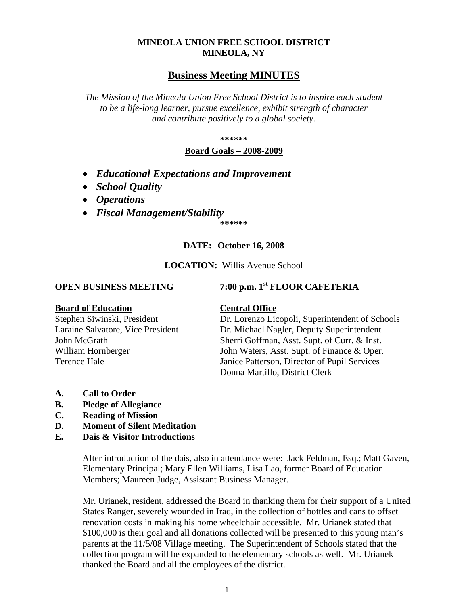# **MINEOLA UNION FREE SCHOOL DISTRICT MINEOLA, NY**

# **Business Meeting MINUTES**

*The Mission of the Mineola Union Free School District is to inspire each student to be a life-long learner, pursue excellence, exhibit strength of character and contribute positively to a global society.*

**\*\*\*\*\*\***

# **Board Goals – 2008-2009**

- *Educational Expectations and Improvement*
- *School Quality*
- *Operations*
- *Fiscal Management/Stability*

**\*\*\*\*\*\***

# **DATE: October 16, 2008**

# **LOCATION:** Willis Avenue School

# **OPEN BUSINESS MEETING 7:00 p.m. 1st FLOOR CAFETERIA**

# **Board of Education Central Office**

Stephen Siwinski, President Dr. Lorenzo Licopoli, Superintendent of Schools<br>
Laraine Salvatore. Vice President Dr. Michael Nagler, Deputy Superintendent Dr. Michael Nagler, Deputy Superintendent John McGrath Sherri Goffman, Asst. Supt. of Curr. & Inst. William Hornberger John Waters, Asst. Supt. of Finance & Oper. Terence Hale Janice Patterson, Director of Pupil Services Donna Martillo, District Clerk

- **A. Call to Order**
- **B. Pledge of Allegiance**
- **C. Reading of Mission**
- **D. Moment of Silent Meditation**
- **E. Dais & Visitor Introductions**

After introduction of the dais, also in attendance were: Jack Feldman, Esq.; Matt Gaven, Elementary Principal; Mary Ellen Williams, Lisa Lao, former Board of Education Members; Maureen Judge, Assistant Business Manager.

Mr. Urianek, resident, addressed the Board in thanking them for their support of a United States Ranger, severely wounded in Iraq, in the collection of bottles and cans to offset renovation costs in making his home wheelchair accessible. Mr. Urianek stated that \$100,000 is their goal and all donations collected will be presented to this young man's parents at the 11/5/08 Village meeting. The Superintendent of Schools stated that the collection program will be expanded to the elementary schools as well. Mr. Urianek thanked the Board and all the employees of the district.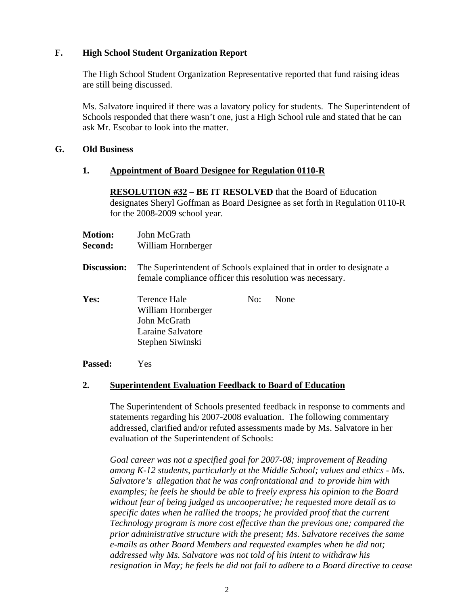# **F. High School Student Organization Report**

The High School Student Organization Representative reported that fund raising ideas are still being discussed.

Ms. Salvatore inquired if there was a lavatory policy for students. The Superintendent of Schools responded that there wasn't one, just a High School rule and stated that he can ask Mr. Escobar to look into the matter.

# **G. Old Business**

# **1. Appointment of Board Designee for Regulation 0110-R**

**RESOLUTION #32 – BE IT RESOLVED** that the Board of Education designates Sheryl Goffman as Board Designee as set forth in Regulation 0110-R for the 2008-2009 school year.

| <b>Motion:</b><br><b>Second:</b> | John McGrath<br>William Hornberger                                                          |     |                                                                      |
|----------------------------------|---------------------------------------------------------------------------------------------|-----|----------------------------------------------------------------------|
| <b>Discussion:</b>               | female compliance officer this resolution was necessary.                                    |     | The Superintendent of Schools explained that in order to designate a |
| Yes:                             | Terence Hale<br>William Hornberger<br>John McGrath<br>Laraine Salvatore<br>Stephen Siwinski | No: | None                                                                 |

**Passed:** Yes

# **2. Superintendent Evaluation Feedback to Board of Education**

The Superintendent of Schools presented feedback in response to comments and statements regarding his 2007-2008 evaluation. The following commentary addressed, clarified and/or refuted assessments made by Ms. Salvatore in her evaluation of the Superintendent of Schools:

*Goal career was not a specified goal for 2007-08; improvement of Reading among K-12 students, particularly at the Middle School; values and ethics - Ms. Salvatore's allegation that he was confrontational and to provide him with examples; he feels he should be able to freely express his opinion to the Board without fear of being judged as uncooperative; he requested more detail as to specific dates when he rallied the troops; he provided proof that the current Technology program is more cost effective than the previous one; compared the prior administrative structure with the present; Ms. Salvatore receives the same e-mails as other Board Members and requested examples when he did not; addressed why Ms. Salvatore was not told of his intent to withdraw his resignation in May; he feels he did not fail to adhere to a Board directive to cease*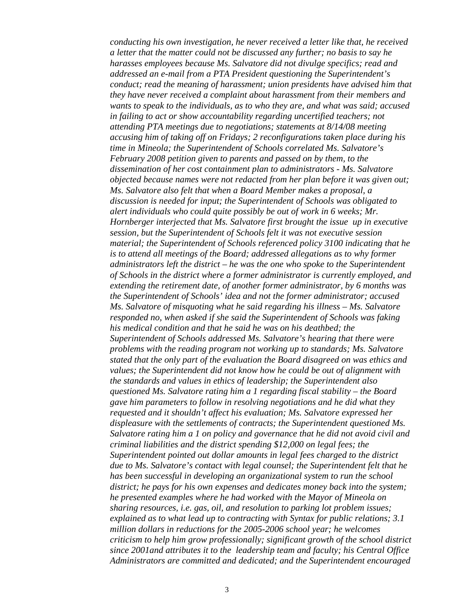*conducting his own investigation, he never received a letter like that, he received a letter that the matter could not be discussed any further; no basis to say he harasses employees because Ms. Salvatore did not divulge specifics; read and addressed an e-mail from a PTA President questioning the Superintendent's conduct; read the meaning of harassment; union presidents have advised him that they have never received a complaint about harassment from their members and wants to speak to the individuals, as to who they are, and what was said; accused in failing to act or show accountability regarding uncertified teachers; not attending PTA meetings due to negotiations; statements at 8/14/08 meeting accusing him of taking off on Fridays; 2 reconfigurations taken place during his time in Mineola; the Superintendent of Schools correlated Ms. Salvatore's February 2008 petition given to parents and passed on by them, to the dissemination of her cost containment plan to administrators - Ms. Salvatore objected because names were not redacted from her plan before it was given out; Ms. Salvatore also felt that when a Board Member makes a proposal, a discussion is needed for input; the Superintendent of Schools was obligated to alert individuals who could quite possibly be out of work in 6 weeks; Mr. Hornberger interjected that Ms. Salvatore first brought the issue up in executive session, but the Superintendent of Schools felt it was not executive session material; the Superintendent of Schools referenced policy 3100 indicating that he is to attend all meetings of the Board; addressed allegations as to why former administrators left the district – he was the one who spoke to the Superintendent of Schools in the district where a former administrator is currently employed, and extending the retirement date, of another former administrator, by 6 months was the Superintendent of Schools' idea and not the former administrator; accused Ms. Salvatore of misquoting what he said regarding his illness – Ms. Salvatore responded no, when asked if she said the Superintendent of Schools was faking his medical condition and that he said he was on his deathbed; the Superintendent of Schools addressed Ms. Salvatore's hearing that there were problems with the reading program not working up to standards; Ms. Salvatore stated that the only part of the evaluation the Board disagreed on was ethics and values; the Superintendent did not know how he could be out of alignment with the standards and values in ethics of leadership; the Superintendent also questioned Ms. Salvatore rating him a 1 regarding fiscal stability – the Board gave him parameters to follow in resolving negotiations and he did what they requested and it shouldn't affect his evaluation; Ms. Salvatore expressed her displeasure with the settlements of contracts; the Superintendent questioned Ms. Salvatore rating him a 1 on policy and governance that he did not avoid civil and criminal liabilities and the district spending \$12,000 on legal fees; the Superintendent pointed out dollar amounts in legal fees charged to the district due to Ms. Salvatore's contact with legal counsel; the Superintendent felt that he has been successful in developing an organizational system to run the school district; he pays for his own expenses and dedicates money back into the system; he presented examples where he had worked with the Mayor of Mineola on sharing resources, i.e. gas, oil, and resolution to parking lot problem issues; explained as to what lead up to contracting with Syntax for public relations; 3.1 million dollars in reductions for the 2005-2006 school year; he welcomes criticism to help him grow professionally; significant growth of the school district since 2001and attributes it to the leadership team and faculty; his Central Office Administrators are committed and dedicated; and the Superintendent encouraged*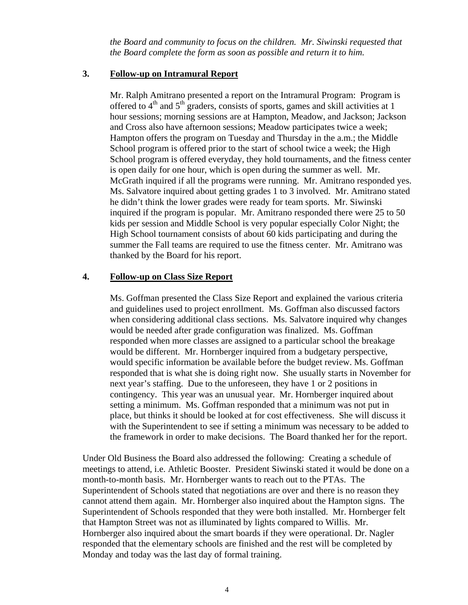*the Board and community to focus on the children. Mr. Siwinski requested that the Board complete the form as soon as possible and return it to him.* 

# **3. Follow-up on Intramural Report**

Mr. Ralph Amitrano presented a report on the Intramural Program: Program is offered to  $4<sup>th</sup>$  and  $5<sup>th</sup>$  graders, consists of sports, games and skill activities at 1 hour sessions; morning sessions are at Hampton, Meadow, and Jackson; Jackson and Cross also have afternoon sessions; Meadow participates twice a week; Hampton offers the program on Tuesday and Thursday in the a.m.; the Middle School program is offered prior to the start of school twice a week; the High School program is offered everyday, they hold tournaments, and the fitness center is open daily for one hour, which is open during the summer as well. Mr. McGrath inquired if all the programs were running. Mr. Amitrano responded yes. Ms. Salvatore inquired about getting grades 1 to 3 involved. Mr. Amitrano stated he didn't think the lower grades were ready for team sports. Mr. Siwinski inquired if the program is popular. Mr. Amitrano responded there were 25 to 50 kids per session and Middle School is very popular especially Color Night; the High School tournament consists of about 60 kids participating and during the summer the Fall teams are required to use the fitness center. Mr. Amitrano was thanked by the Board for his report.

# **4. Follow-up on Class Size Report**

Ms. Goffman presented the Class Size Report and explained the various criteria and guidelines used to project enrollment. Ms. Goffman also discussed factors when considering additional class sections. Ms. Salvatore inquired why changes would be needed after grade configuration was finalized. Ms. Goffman responded when more classes are assigned to a particular school the breakage would be different. Mr. Hornberger inquired from a budgetary perspective, would specific information be available before the budget review. Ms. Goffman responded that is what she is doing right now. She usually starts in November for next year's staffing. Due to the unforeseen, they have 1 or 2 positions in contingency. This year was an unusual year. Mr. Hornberger inquired about setting a minimum. Ms. Goffman responded that a minimum was not put in place, but thinks it should be looked at for cost effectiveness. She will discuss it with the Superintendent to see if setting a minimum was necessary to be added to the framework in order to make decisions. The Board thanked her for the report.

Under Old Business the Board also addressed the following: Creating a schedule of meetings to attend, i.e. Athletic Booster. President Siwinski stated it would be done on a month-to-month basis. Mr. Hornberger wants to reach out to the PTAs. The Superintendent of Schools stated that negotiations are over and there is no reason they cannot attend them again. Mr. Hornberger also inquired about the Hampton signs. The Superintendent of Schools responded that they were both installed. Mr. Hornberger felt that Hampton Street was not as illuminated by lights compared to Willis. Mr. Hornberger also inquired about the smart boards if they were operational. Dr. Nagler responded that the elementary schools are finished and the rest will be completed by Monday and today was the last day of formal training.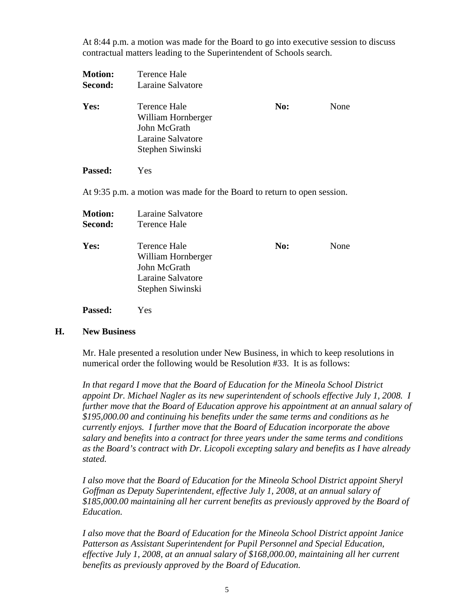At 8:44 p.m. a motion was made for the Board to go into executive session to discuss contractual matters leading to the Superintendent of Schools search.

| <b>Motion:</b> | Terence Hale                                                                                |     |      |
|----------------|---------------------------------------------------------------------------------------------|-----|------|
| Second:        | Laraine Salvatore                                                                           |     |      |
| Yes:           | Terence Hale<br>William Hornberger<br>John McGrath<br>Laraine Salvatore<br>Stephen Siwinski | No: | None |
| <b>Passed:</b> | Yes                                                                                         |     |      |
|                | At 9:35 p.m. a motion was made for the Board to return to open session.                     |     |      |
| <b>Motion:</b> | Laraine Salvatore                                                                           |     |      |
| Second:        | Terence Hale                                                                                |     |      |
| Yes:           | <b>Terence Hale</b>                                                                         | No: | None |
|                | William Hornberger                                                                          |     |      |
|                | John McGrath                                                                                |     |      |
|                | Laraine Salvatore                                                                           |     |      |
|                | Stephen Siwinski                                                                            |     |      |

**Passed:** Yes

#### **H. New Business**

Mr. Hale presented a resolution under New Business, in which to keep resolutions in numerical order the following would be Resolution #33. It is as follows:

*In that regard I move that the Board of Education for the Mineola School District appoint Dr. Michael Nagler as its new superintendent of schools effective July 1, 2008. I further move that the Board of Education approve his appointment at an annual salary of \$195,000.00 and continuing his benefits under the same terms and conditions as he currently enjoys. I further move that the Board of Education incorporate the above salary and benefits into a contract for three years under the same terms and conditions as the Board's contract with Dr. Licopoli excepting salary and benefits as I have already stated.*

*I also move that the Board of Education for the Mineola School District appoint Sheryl Goffman as Deputy Superintendent, effective July 1, 2008, at an annual salary of \$185,000.00 maintaining all her current benefits as previously approved by the Board of Education.*

*I also move that the Board of Education for the Mineola School District appoint Janice Patterson as Assistant Superintendent for Pupil Personnel and Special Education, effective July 1, 2008, at an annual salary of \$168,000.00, maintaining all her current benefits as previously approved by the Board of Education.*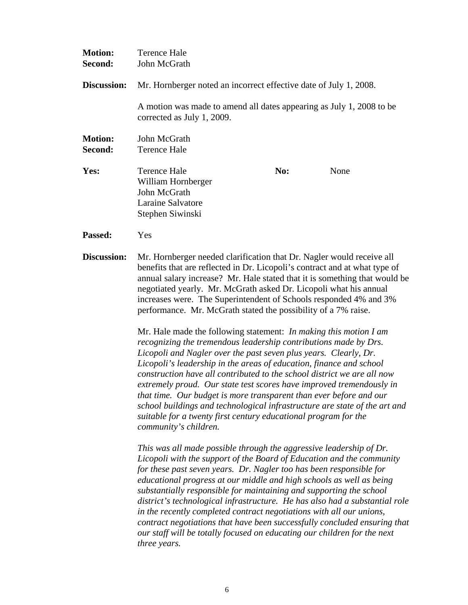| <b>Motion:</b><br>Second: | <b>Terence Hale</b><br>John McGrath                                                                                                                                                                                                                                                                                                                                                                                                                                                                                                                                                                                                                                                                                                                                                                                                                                                                                                                                                                                                                                                                                                  |     |      |
|---------------------------|--------------------------------------------------------------------------------------------------------------------------------------------------------------------------------------------------------------------------------------------------------------------------------------------------------------------------------------------------------------------------------------------------------------------------------------------------------------------------------------------------------------------------------------------------------------------------------------------------------------------------------------------------------------------------------------------------------------------------------------------------------------------------------------------------------------------------------------------------------------------------------------------------------------------------------------------------------------------------------------------------------------------------------------------------------------------------------------------------------------------------------------|-----|------|
| Discussion:               | Mr. Hornberger noted an incorrect effective date of July 1, 2008.                                                                                                                                                                                                                                                                                                                                                                                                                                                                                                                                                                                                                                                                                                                                                                                                                                                                                                                                                                                                                                                                    |     |      |
|                           | A motion was made to amend all dates appearing as July 1, 2008 to be<br>corrected as July 1, 2009.                                                                                                                                                                                                                                                                                                                                                                                                                                                                                                                                                                                                                                                                                                                                                                                                                                                                                                                                                                                                                                   |     |      |
| <b>Motion:</b><br>Second: | John McGrath<br><b>Terence Hale</b>                                                                                                                                                                                                                                                                                                                                                                                                                                                                                                                                                                                                                                                                                                                                                                                                                                                                                                                                                                                                                                                                                                  |     |      |
| Yes:                      | <b>Terence Hale</b><br>William Hornberger<br>John McGrath<br>Laraine Salvatore<br>Stephen Siwinski                                                                                                                                                                                                                                                                                                                                                                                                                                                                                                                                                                                                                                                                                                                                                                                                                                                                                                                                                                                                                                   | No: | None |
| Passed:                   | Yes                                                                                                                                                                                                                                                                                                                                                                                                                                                                                                                                                                                                                                                                                                                                                                                                                                                                                                                                                                                                                                                                                                                                  |     |      |
| <b>Discussion:</b>        | Mr. Hornberger needed clarification that Dr. Nagler would receive all<br>benefits that are reflected in Dr. Licopoli's contract and at what type of<br>annual salary increase? Mr. Hale stated that it is something that would be<br>negotiated yearly. Mr. McGrath asked Dr. Licopoli what his annual<br>increases were. The Superintendent of Schools responded 4% and 3%<br>performance. Mr. McGrath stated the possibility of a 7% raise.<br>Mr. Hale made the following statement: In making this motion I am<br>recognizing the tremendous leadership contributions made by Drs.<br>Licopoli and Nagler over the past seven plus years. Clearly, Dr.<br>Licopoli's leadership in the areas of education, finance and school<br>construction have all contributed to the school district we are all now<br>extremely proud. Our state test scores have improved tremendously in<br>that time. Our budget is more transparent than ever before and our<br>school buildings and technological infrastructure are state of the art and<br>suitable for a twenty first century educational program for the<br>community's children. |     |      |
|                           |                                                                                                                                                                                                                                                                                                                                                                                                                                                                                                                                                                                                                                                                                                                                                                                                                                                                                                                                                                                                                                                                                                                                      |     |      |
|                           | This was all made possible through the aggressive leadership of Dr.<br>Licopoli with the support of the Board of Education and the community<br>for these past seven years. Dr. Nagler too has been responsible for<br>educational progress at our middle and high schools as well as being<br>substantially responsible for maintaining and supporting the school<br>district's technological infrastructure. He has also had a substantial role<br>in the recently completed contract negotiations with all our unions                                                                                                                                                                                                                                                                                                                                                                                                                                                                                                                                                                                                             |     |      |

*in the recently completed contract negotiations with all our unions, contract negotiations that have been successfully concluded ensuring that our staff will be totally focused on educating our children for the next three years.*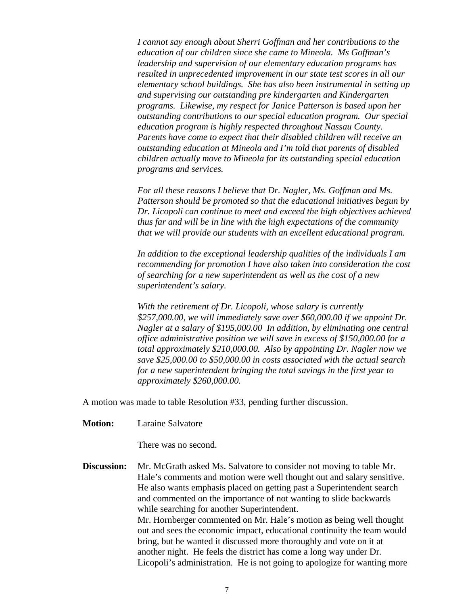*I cannot say enough about Sherri Goffman and her contributions to the education of our children since she came to Mineola. Ms Goffman's leadership and supervision of our elementary education programs has resulted in unprecedented improvement in our state test scores in all our elementary school buildings. She has also been instrumental in setting up and supervising our outstanding pre kindergarten and Kindergarten programs. Likewise, my respect for Janice Patterson is based upon her outstanding contributions to our special education program. Our special education program is highly respected throughout Nassau County. Parents have come to expect that their disabled children will receive an outstanding education at Mineola and I'm told that parents of disabled children actually move to Mineola for its outstanding special education programs and services.*

*For all these reasons I believe that Dr. Nagler, Ms. Goffman and Ms. Patterson should be promoted so that the educational initiatives begun by Dr. Licopoli can continue to meet and exceed the high objectives achieved thus far and will be in line with the high expectations of the community that we will provide our students with an excellent educational program.* 

*In addition to the exceptional leadership qualities of the individuals I am recommending for promotion I have also taken into consideration the cost of searching for a new superintendent as well as the cost of a new superintendent's salary.* 

*With the retirement of Dr. Licopoli, whose salary is currently \$257,000.00, we will immediately save over \$60,000.00 if we appoint Dr. Nagler at a salary of \$195,000.00 In addition, by eliminating one central office administrative position we will save in excess of \$150,000.00 for a total approximately \$210,000.00. Also by appointing Dr. Nagler now we save \$25,000.00 to \$50,000.00 in costs associated with the actual search for a new superintendent bringing the total savings in the first year to approximately \$260,000.00.*

A motion was made to table Resolution #33, pending further discussion.

**Motion:** Laraine Salvatore

There was no second.

**Discussion:** Mr. McGrath asked Ms. Salvatore to consider not moving to table Mr. Hale's comments and motion were well thought out and salary sensitive. He also wants emphasis placed on getting past a Superintendent search and commented on the importance of not wanting to slide backwards while searching for another Superintendent. Mr. Hornberger commented on Mr. Hale's motion as being well thought out and sees the economic impact, educational continuity the team would bring, but he wanted it discussed more thoroughly and vote on it at another night. He feels the district has come a long way under Dr. Licopoli's administration. He is not going to apologize for wanting more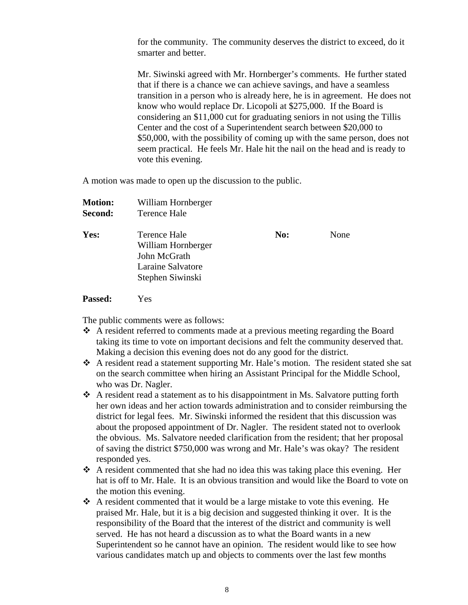for the community. The community deserves the district to exceed, do it smarter and better.

Mr. Siwinski agreed with Mr. Hornberger's comments. He further stated that if there is a chance we can achieve savings, and have a seamless transition in a person who is already here, he is in agreement. He does not know who would replace Dr. Licopoli at \$275,000. If the Board is considering an \$11,000 cut for graduating seniors in not using the Tillis Center and the cost of a Superintendent search between \$20,000 to \$50,000, with the possibility of coming up with the same person, does not seem practical. He feels Mr. Hale hit the nail on the head and is ready to vote this evening.

A motion was made to open up the discussion to the public.

| <b>Motion:</b> | William Hornberger                                                                          |     |      |
|----------------|---------------------------------------------------------------------------------------------|-----|------|
| Second:        | Terence Hale                                                                                |     |      |
| Yes:           | Terence Hale<br>William Hornberger<br>John McGrath<br>Laraine Salvatore<br>Stephen Siwinski | No: | None |
|                |                                                                                             |     |      |

**Passed:** Yes

The public comments were as follows:

- A resident referred to comments made at a previous meeting regarding the Board taking its time to vote on important decisions and felt the community deserved that. Making a decision this evening does not do any good for the district.
- A resident read a statement supporting Mr. Hale's motion. The resident stated she sat on the search committee when hiring an Assistant Principal for the Middle School, who was Dr. Nagler.
- A resident read a statement as to his disappointment in Ms. Salvatore putting forth her own ideas and her action towards administration and to consider reimbursing the district for legal fees. Mr. Siwinski informed the resident that this discussion was about the proposed appointment of Dr. Nagler. The resident stated not to overlook the obvious. Ms. Salvatore needed clarification from the resident; that her proposal of saving the district \$750,000 was wrong and Mr. Hale's was okay? The resident responded yes.
- A resident commented that she had no idea this was taking place this evening. Her hat is off to Mr. Hale. It is an obvious transition and would like the Board to vote on the motion this evening.
- A resident commented that it would be a large mistake to vote this evening. He praised Mr. Hale, but it is a big decision and suggested thinking it over. It is the responsibility of the Board that the interest of the district and community is well served. He has not heard a discussion as to what the Board wants in a new Superintendent so he cannot have an opinion. The resident would like to see how various candidates match up and objects to comments over the last few months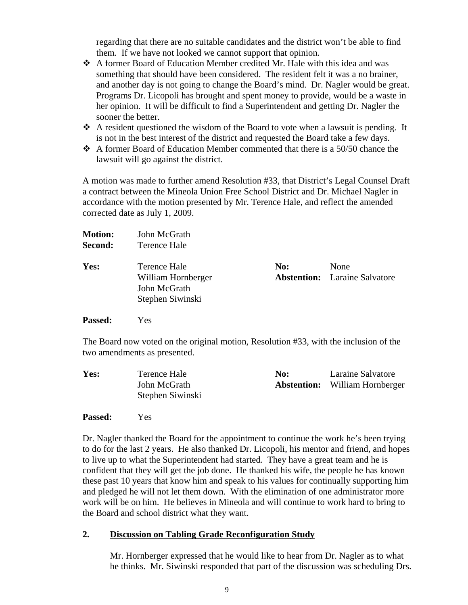regarding that there are no suitable candidates and the district won't be able to find them. If we have not looked we cannot support that opinion.

- A former Board of Education Member credited Mr. Hale with this idea and was something that should have been considered. The resident felt it was a no brainer, and another day is not going to change the Board's mind. Dr. Nagler would be great. Programs Dr. Licopoli has brought and spent money to provide, would be a waste in her opinion. It will be difficult to find a Superintendent and getting Dr. Nagler the sooner the better.
- $\triangle$  A resident questioned the wisdom of the Board to vote when a lawsuit is pending. It is not in the best interest of the district and requested the Board take a few days.
- A former Board of Education Member commented that there is a 50/50 chance the lawsuit will go against the district.

A motion was made to further amend Resolution #33, that District's Legal Counsel Draft a contract between the Mineola Union Free School District and Dr. Michael Nagler in accordance with the motion presented by Mr. Terence Hale, and reflect the amended corrected date as July 1, 2009.

| <b>Motion:</b> | John McGrath       |     |                                      |
|----------------|--------------------|-----|--------------------------------------|
| Second:        | Terence Hale       |     |                                      |
| Yes:           | Terence Hale       | No: | None                                 |
|                | William Hornberger |     | <b>Abstention:</b> Laraine Salvatore |
|                | John McGrath       |     |                                      |
|                | Stephen Siwinski   |     |                                      |
| <b>Passed:</b> | Yes                |     |                                      |

The Board now voted on the original motion, Resolution #33, with the inclusion of the two amendments as presented.

| Yes: | Terence Hale     | No: | Laraine Salvatore                     |
|------|------------------|-----|---------------------------------------|
|      | John McGrath     |     | <b>Abstention:</b> William Hornberger |
|      | Stephen Siwinski |     |                                       |

# **Passed:** Yes

Dr. Nagler thanked the Board for the appointment to continue the work he's been trying to do for the last 2 years. He also thanked Dr. Licopoli, his mentor and friend, and hopes to live up to what the Superintendent had started. They have a great team and he is confident that they will get the job done. He thanked his wife, the people he has known these past 10 years that know him and speak to his values for continually supporting him and pledged he will not let them down. With the elimination of one administrator more work will be on him. He believes in Mineola and will continue to work hard to bring to the Board and school district what they want.

# **2. Discussion on Tabling Grade Reconfiguration Study**

Mr. Hornberger expressed that he would like to hear from Dr. Nagler as to what he thinks. Mr. Siwinski responded that part of the discussion was scheduling Drs.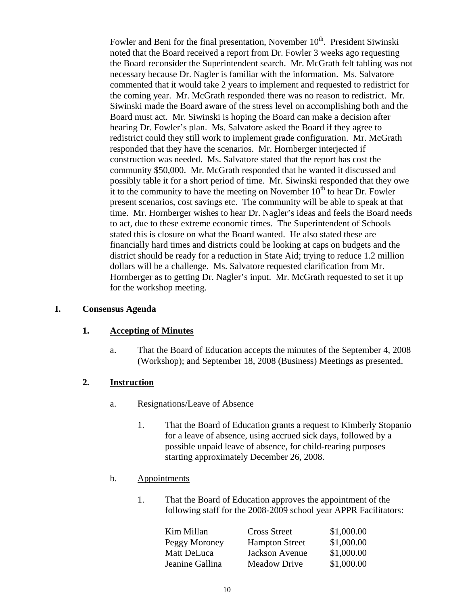Fowler and Beni for the final presentation, November 10<sup>th</sup>. President Siwinski noted that the Board received a report from Dr. Fowler 3 weeks ago requesting the Board reconsider the Superintendent search. Mr. McGrath felt tabling was not necessary because Dr. Nagler is familiar with the information. Ms. Salvatore commented that it would take 2 years to implement and requested to redistrict for the coming year. Mr. McGrath responded there was no reason to redistrict. Mr. Siwinski made the Board aware of the stress level on accomplishing both and the Board must act. Mr. Siwinski is hoping the Board can make a decision after hearing Dr. Fowler's plan. Ms. Salvatore asked the Board if they agree to redistrict could they still work to implement grade configuration. Mr. McGrath responded that they have the scenarios. Mr. Hornberger interjected if construction was needed. Ms. Salvatore stated that the report has cost the community \$50,000. Mr. McGrath responded that he wanted it discussed and possibly table it for a short period of time. Mr. Siwinski responded that they owe it to the community to have the meeting on November  $10<sup>th</sup>$  to hear Dr. Fowler present scenarios, cost savings etc. The community will be able to speak at that time. Mr. Hornberger wishes to hear Dr. Nagler's ideas and feels the Board needs to act, due to these extreme economic times. The Superintendent of Schools stated this is closure on what the Board wanted. He also stated these are financially hard times and districts could be looking at caps on budgets and the district should be ready for a reduction in State Aid; trying to reduce 1.2 million dollars will be a challenge. Ms. Salvatore requested clarification from Mr. Hornberger as to getting Dr. Nagler's input. Mr. McGrath requested to set it up for the workshop meeting.

#### **I. Consensus Agenda**

#### **1. Accepting of Minutes**

a. That the Board of Education accepts the minutes of the September 4, 2008 (Workshop); and September 18, 2008 (Business) Meetings as presented.

# **2. Instruction**

- a. Resignations/Leave of Absence
	- 1. That the Board of Education grants a request to Kimberly Stopanio for a leave of absence, using accrued sick days, followed by a possible unpaid leave of absence, for child-rearing purposes starting approximately December 26, 2008.

# b. Appointments

1. That the Board of Education approves the appointment of the following staff for the 2008-2009 school year APPR Facilitators:

| Kim Millan      | <b>Cross Street</b>   | \$1,000.00 |
|-----------------|-----------------------|------------|
| Peggy Moroney   | <b>Hampton Street</b> | \$1,000.00 |
| Matt DeLuca     | Jackson Avenue        | \$1,000.00 |
| Jeanine Gallina | <b>Meadow Drive</b>   | \$1,000.00 |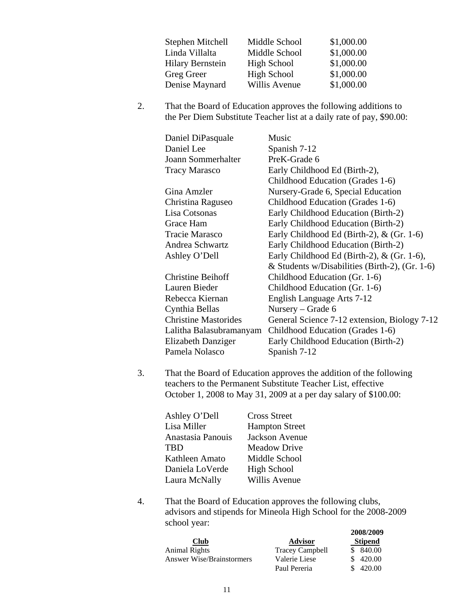| Stephen Mitchell        | Middle School      | \$1,000.00 |
|-------------------------|--------------------|------------|
| Linda Villalta          | Middle School      | \$1,000.00 |
| <b>Hilary Bernstein</b> | High School        | \$1,000.00 |
| Greg Greer              | <b>High School</b> | \$1,000.00 |
| Denise Maynard          | Willis Avenue      | \$1,000.00 |

2. That the Board of Education approves the following additions to the Per Diem Substitute Teacher list at a daily rate of pay, \$90.00:

| Daniel DiPasquale           | Music                                          |
|-----------------------------|------------------------------------------------|
| Daniel Lee                  | Spanish 7-12                                   |
| Joann Sommerhalter          | PreK-Grade 6                                   |
| <b>Tracy Marasco</b>        | Early Childhood Ed (Birth-2),                  |
|                             | Childhood Education (Grades 1-6)               |
| Gina Amzler                 | Nursery-Grade 6, Special Education             |
| Christina Raguseo           | Childhood Education (Grades 1-6)               |
| Lisa Cotsonas               | Early Childhood Education (Birth-2)            |
| Grace Ham                   | Early Childhood Education (Birth-2)            |
| Tracie Marasco              | Early Childhood Ed (Birth-2), $&$ (Gr. 1-6)    |
| Andrea Schwartz             | Early Childhood Education (Birth-2)            |
| Ashley O'Dell               | Early Childhood Ed (Birth-2), $&$ (Gr. 1-6),   |
|                             | & Students w/Disabilities (Birth-2), (Gr. 1-6) |
| <b>Christine Beihoff</b>    | Childhood Education (Gr. 1-6)                  |
| Lauren Bieder               | Childhood Education (Gr. 1-6)                  |
| Rebecca Kiernan             | English Language Arts 7-12                     |
| Cynthia Bellas              | Nursery – Grade 6                              |
| <b>Christine Mastorides</b> | General Science 7-12 extension, Biology 7-12   |
| Lalitha Balasubramanyam     | Childhood Education (Grades 1-6)               |
| <b>Elizabeth Danziger</b>   | Early Childhood Education (Birth-2)            |
| Pamela Nolasco              | Spanish 7-12                                   |
|                             |                                                |

3. That the Board of Education approves the addition of the following teachers to the Permanent Substitute Teacher List, effective October 1, 2008 to May 31, 2009 at a per day salary of \$100.00:

| Ashley O'Dell     | <b>Cross Street</b>   |
|-------------------|-----------------------|
| Lisa Miller       | <b>Hampton Street</b> |
| Anastasia Panouis | <b>Jackson Avenue</b> |
| <b>TBD</b>        | <b>Meadow Drive</b>   |
| Kathleen Amato    | Middle School         |
| Daniela LoVerde   | <b>High School</b>    |
| Laura McNally     | Willis Avenue         |

4. That the Board of Education approves the following clubs, advisors and stipends for Mineola High School for the 2008-2009 school year: **2008/2009**

| Club                             | Advisor         | $\boldsymbol{2000}$ $\boldsymbol{200}$<br><b>Stipend</b> |
|----------------------------------|-----------------|----------------------------------------------------------|
| Animal Rights                    | Tracey Campbell | \$ 840.00                                                |
| <b>Answer Wise/Brainstormers</b> | Valerie Liese   | \$420.00                                                 |
|                                  | Paul Pereria    | 420.00                                                   |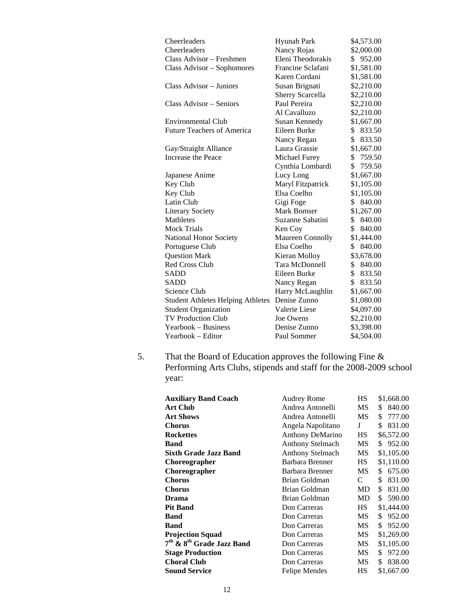| <b>Hyunah Park</b> | \$4,573.00   |
|--------------------|--------------|
|                    | \$2,000.00   |
| Eleni Theodorakis  | 952.00<br>S. |
| Francine Sclafani  | \$1,581.00   |
| Karen Cordani      | \$1,581.00   |
| Susan Brignati     | \$2,210.00   |
| Sherry Scarcella   | \$2,210.00   |
| Paul Pereira       | \$2,210.00   |
| Al Cavalluzo       | \$2,210.00   |
| Susan Kennedy      | \$1,667.00   |
| Eileen Burke       | \$<br>833.50 |
| Nancy Regan        | \$<br>833.50 |
| Laura Grassie      | \$1,667.00   |
| Michael Furey      | \$759.50     |
| Cynthia Lombardi   | \$<br>759.50 |
| Lucy Long          | \$1,667.00   |
| Maryl Fitzpatrick  | \$1,105.00   |
| Elsa Coelho        | \$1,105.00   |
| Gigi Foge          | \$<br>840.00 |
| Mark Bomser        | \$1,267.00   |
| Suzanne Sabatini   | \$<br>840.00 |
| Ken Coy            | \$<br>840.00 |
| Maureen Connolly   | \$1,444.00   |
| Elsa Coelho        | \$<br>840.00 |
| Kieran Molloy      | \$3,678.00   |
| Tara McDonnell     | 840.00<br>\$ |
| Eileen Burke       | \$<br>833.50 |
| Nancy Regan        | \$<br>833.50 |
| Harry McLaughlin   | \$1,667.00   |
| Denise Zunno       | \$1,080.00   |
| Valerie Liese      | \$4,097.00   |
| Joe Owens          | \$2,210.00   |
| Denise Zunno       | \$3,398.00   |
| Paul Sommer        | \$4,504.00   |
|                    | Nancy Rojas  |

5. That the Board of Education approves the following Fine & Performing Arts Clubs, stipends and staff for the 2008-2009 school year:

| <b>Auxiliary Band Coach</b>                       | Audrey Rome             | <b>HS</b> | \$1,668.00   |
|---------------------------------------------------|-------------------------|-----------|--------------|
| <b>Art Club</b>                                   | Andrea Antonelli        | MS        | 840.00<br>S  |
| <b>Art Shows</b>                                  | Andrea Antonelli        | MS        | 777.00<br>\$ |
| <b>Chorus</b>                                     | Angela Napolitano       | J         | 831.00<br>\$ |
| <b>Rockettes</b>                                  | <b>Anthony DeMarino</b> | HS        | \$6,572.00   |
| <b>Band</b>                                       | <b>Anthony Stelmach</b> | MS        | 952.00<br>S. |
| <b>Sixth Grade Jazz Band</b>                      | <b>Anthony Stelmach</b> | МS        | \$1,105.00   |
| Choreographer                                     | Barbara Brenner         | HS        | \$1,110.00   |
| Choreographer                                     | Barbara Brenner         | MS        | 675.00<br>\$ |
| <b>Chorus</b>                                     | Brian Goldman           | C         | \$<br>831.00 |
| <b>Chorus</b>                                     | <b>Brian Goldman</b>    | MD        | \$<br>831.00 |
| <b>Drama</b>                                      | Brian Goldman           | MD        | 590.00<br>\$ |
| <b>Pit Band</b>                                   | Don Carreras            | HS.       | \$1,444.00   |
| Band                                              | Don Carreras            | МS        | 952.00<br>\$ |
| Band                                              | Don Carreras            | MS        | 952.00<br>\$ |
| <b>Projection Squad</b>                           | Don Carreras            | MS        | \$1,269.00   |
| 7 <sup>th</sup> & 8 <sup>th</sup> Grade Jazz Band | Don Carreras            | MS        | \$1,105.00   |
| <b>Stage Production</b>                           | Don Carreras            | MS        | 972.00<br>\$ |
| <b>Choral Club</b>                                | Don Carreras            | MS        | \$<br>838.00 |
| <b>Sound Service</b>                              | <b>Felipe Mendes</b>    | НS        | \$1,667.00   |
|                                                   |                         |           |              |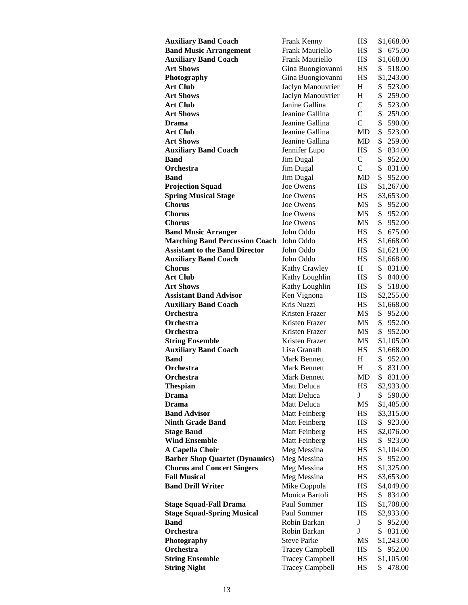| <b>Auxiliary Band Coach</b>           | Frank Kenny            | HS            | \$1,668.00   |
|---------------------------------------|------------------------|---------------|--------------|
| <b>Band Music Arrangement</b>         | Frank Mauriello        | НS            | 675.00<br>\$ |
| <b>Auxiliary Band Coach</b>           | Frank Mauriello        | HS            | \$1,668.00   |
| <b>Art Shows</b>                      | Gina Buongiovanni      | HS            | \$<br>518.00 |
| Photography                           | Gina Buongiovanni      | НS            | \$1,243.00   |
| <b>Art Club</b>                       | Jaclyn Manouvrier      | H             | \$<br>523.00 |
| <b>Art Shows</b>                      | Jaclyn Manouvrier      | H             | \$<br>259.00 |
| <b>Art Club</b>                       | Janine Gallina         | $\mathcal{C}$ | \$<br>523.00 |
| <b>Art Shows</b>                      | Jeanine Gallina        | $\mathcal{C}$ | \$<br>259.00 |
| Drama                                 | Jeanine Gallina        | $\mathcal{C}$ | \$<br>590.00 |
| <b>Art Club</b>                       | Jeanine Gallina        | MD            | \$<br>523.00 |
|                                       |                        |               |              |
| <b>Art Shows</b>                      | Jeanine Gallina        | MD            | \$<br>259.00 |
| <b>Auxiliary Band Coach</b>           | Jennifer Lupo          | HS            | \$<br>834.00 |
| <b>Band</b>                           | Jim Dugal              | $\mathcal{C}$ | \$<br>952.00 |
| <b>Orchestra</b>                      | Jim Dugal              | $\mathcal{C}$ | \$<br>831.00 |
| Band                                  | Jim Dugal              | MD            | \$<br>952.00 |
| <b>Projection Squad</b>               | Joe Owens              | HS            | \$1,267.00   |
| <b>Spring Musical Stage</b>           | Joe Owens              | HS            | \$3,653.00   |
| <b>Chorus</b>                         | Joe Owens              | MS            | \$<br>952.00 |
| <b>Chorus</b>                         | Joe Owens              | MS            | \$<br>952.00 |
| <b>Chorus</b>                         | Joe Owens              | MS            | \$<br>952.00 |
| <b>Band Music Arranger</b>            | John Oddo              | HS.           | S.<br>675.00 |
| <b>Marching Band Percussion Coach</b> | John Oddo              | HS            | \$1,668.00   |
| <b>Assistant to the Band Director</b> | John Oddo              | HS            | \$1,621.00   |
| <b>Auxiliary Band Coach</b>           | John Oddo              | HS            | \$1,668.00   |
| <b>Chorus</b>                         | <b>Kathy Crawley</b>   | H             | \$<br>831.00 |
| <b>Art Club</b>                       | Kathy Loughlin         | HS            | \$<br>840.00 |
| <b>Art Shows</b>                      | Kathy Loughlin         | HS            | \$<br>518.00 |
| <b>Assistant Band Advisor</b>         | Ken Vignona            | HS            | \$2,255.00   |
| <b>Auxiliary Band Coach</b>           | Kris Nuzzi             | HS            | \$1,668.00   |
| <b>Orchestra</b>                      | Kristen Frazer         | MS            | \$<br>952.00 |
| <b>Orchestra</b>                      | Kristen Frazer         | MS            | \$<br>952.00 |
| Orchestra                             | Kristen Frazer         | MS            | \$<br>952.00 |
| <b>String Ensemble</b>                | Kristen Frazer         | MS            |              |
| <b>Auxiliary Band Coach</b>           | Lisa Granath           | HS            | \$1,105.00   |
| <b>Band</b>                           |                        |               | \$1,668.00   |
| Orchestra                             | Mark Bennett           | Η             | \$<br>952.00 |
|                                       | <b>Mark Bennett</b>    | H             | \$<br>831.00 |
| Orchestra                             | <b>Mark Bennett</b>    | MD            | \$<br>831.00 |
| <b>Thespian</b>                       | Matt Deluca            | HS            | \$2,933.00   |
| <b>Drama</b>                          | Matt Deluca            | $\mathbf J$   | \$590.00     |
| Drama                                 | <b>Matt Deluca</b>     | MS            | \$1,485.00   |
| <b>Band Advisor</b>                   | Matt Feinberg          | HS            | \$3,315.00   |
| <b>Ninth Grade Band</b>               | Matt Feinberg          | HS            | \$923.00     |
| <b>Stage Band</b>                     | Matt Feinberg          | HS            | \$2,076.00   |
| <b>Wind Ensemble</b>                  | Matt Feinberg          | HS            | \$923.00     |
| A Capella Choir                       | Meg Messina            | HS            | \$1,104.00   |
| <b>Barber Shop Quartet (Dynamics)</b> | Meg Messina            | HS            | \$952.00     |
| <b>Chorus and Concert Singers</b>     | Meg Messina            | HS            | \$1,325.00   |
| <b>Fall Musical</b>                   | Meg Messina            | HS            | \$3,653.00   |
| <b>Band Drill Writer</b>              | Mike Coppola           | HS            | \$4,049.00   |
|                                       | Monica Bartoli         | HS            | \$ 834.00    |
| <b>Stage Squad-Fall Drama</b>         | Paul Sommer            | HS            | \$1,708.00   |
| <b>Stage Squad-Spring Musical</b>     | Paul Sommer            | HS            | \$2,933.00   |
| <b>Band</b>                           | Robin Barkan           | $\bf J$       | \$<br>952.00 |
| Orchestra                             | Robin Barkan           | $\bf J$       | \$<br>831.00 |
| Photography                           | <b>Steve Parke</b>     | MS            | \$1,243.00   |
| Orchestra                             | <b>Tracey Campbell</b> | HS            | \$<br>952.00 |
| <b>String Ensemble</b>                | <b>Tracey Campbell</b> | HS            | \$1,105.00   |
| <b>String Night</b>                   | <b>Tracey Campbell</b> | HS            | \$478.00     |
|                                       |                        |               |              |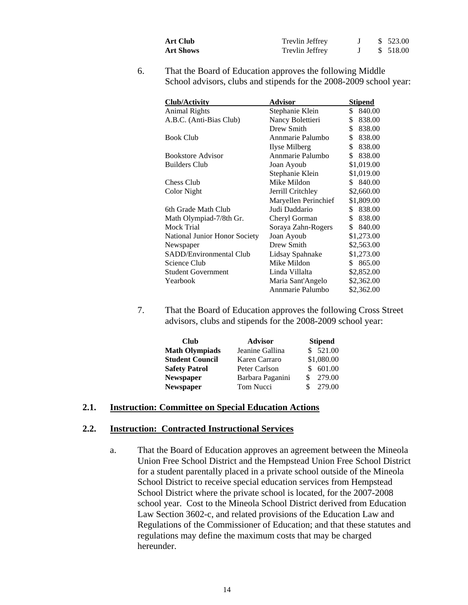| Art Club  | Trevlin Jeffrey |  | \$ 523.00 |
|-----------|-----------------|--|-----------|
| Art Shows | Trevlin Jeffrey |  | \$ 518.00 |

6. That the Board of Education approves the following Middle School advisors, clubs and stipends for the 2008-2009 school year:

| <b>Club/Activity</b>          | Advisor              | <b>Stipend</b> |
|-------------------------------|----------------------|----------------|
| <b>Animal Rights</b>          | Stephanie Klein      | \$840.00       |
| A.B.C. (Anti-Bias Club)       | Nancy Bolettieri     | \$<br>838.00   |
|                               | Drew Smith           | \$<br>838.00   |
| <b>Book Club</b>              | Annmarie Palumbo     | \$<br>838.00   |
|                               | Ilyse Milberg        | \$<br>838.00   |
| <b>Bookstore Advisor</b>      | Annmarie Palumbo     | \$<br>838.00   |
| <b>Builders Club</b>          | Joan Ayoub           | \$1,019.00     |
|                               | Stephanie Klein      | \$1,019.00     |
| Chess Club                    | Mike Mildon          | 840.00<br>S.   |
| Color Night                   | Jerrill Critchley    | \$2,660.00     |
|                               | Maryellen Perinchief | \$1,809.00     |
| 6th Grade Math Club           | Judi Daddario        | 838.00<br>S.   |
| Math Olympiad-7/8th Gr.       | Cheryl Gorman        | \$<br>838.00   |
| Mock Trial                    | Soraya Zahn-Rogers   | \$<br>840.00   |
| National Junior Honor Society | Joan Ayoub           | \$1,273.00     |
| Newspaper                     | Drew Smith           | \$2,563.00     |
| SADD/Environmental Club       | Lidsay Spahnake      | \$1,273.00     |
| Science Club                  | Mike Mildon          | \$ 865.00      |
| <b>Student Government</b>     | Linda Villalta       | \$2,852.00     |
| Yearbook                      | Maria Sant'Angelo    | \$2,362.00     |
|                               | Annmarie Palumbo     | \$2,362.00     |

7. That the Board of Education approves the following Cross Street advisors, clubs and stipends for the 2008-2009 school year:

| <b>Club</b>           | <b>Advisor</b>   | <b>Stipend</b> |
|-----------------------|------------------|----------------|
| <b>Math Olympiads</b> | Jeanine Gallina  | \$521.00       |
| Student Council       | Karen Carraro    | \$1,080.00     |
| <b>Safety Patrol</b>  | Peter Carlson    | \$601.00       |
| <b>Newspaper</b>      | Barbara Paganini | 279.00         |
| Newspaper             | Tom Nucci        | 279.00<br>S.   |

#### **2.1. Instruction: Committee on Special Education Actions**

#### **2.2. Instruction: Contracted Instructional Services**

a. That the Board of Education approves an agreement between the Mineola Union Free School District and the Hempstead Union Free School District for a student parentally placed in a private school outside of the Mineola School District to receive special education services from Hempstead School District where the private school is located, for the 2007-2008 school year. Cost to the Mineola School District derived from Education Law Section 3602-c, and related provisions of the Education Law and Regulations of the Commissioner of Education; and that these statutes and regulations may define the maximum costs that may be charged hereunder.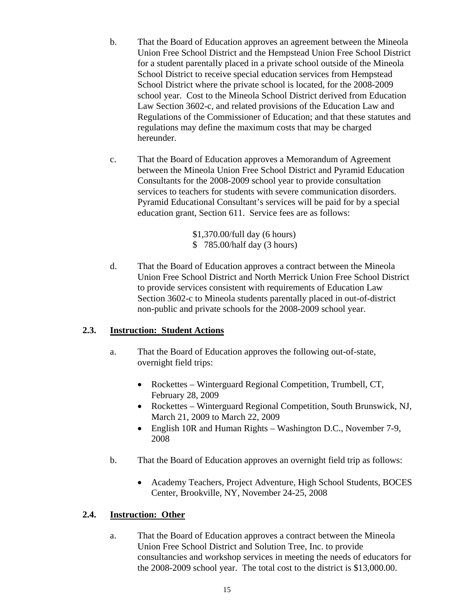- b. That the Board of Education approves an agreement between the Mineola Union Free School District and the Hempstead Union Free School District for a student parentally placed in a private school outside of the Mineola School District to receive special education services from Hempstead School District where the private school is located, for the 2008-2009 school year. Cost to the Mineola School District derived from Education Law Section 3602-c, and related provisions of the Education Law and Regulations of the Commissioner of Education; and that these statutes and regulations may define the maximum costs that may be charged hereunder.
- c. That the Board of Education approves a Memorandum of Agreement between the Mineola Union Free School District and Pyramid Education Consultants for the 2008-2009 school year to provide consultation services to teachers for students with severe communication disorders. Pyramid Educational Consultant's services will be paid for by a special education grant, Section 611. Service fees are as follows:

\$1,370.00/full day (6 hours) \$ 785.00/half day (3 hours)

d. That the Board of Education approves a contract between the Mineola Union Free School District and North Merrick Union Free School District to provide services consistent with requirements of Education Law Section 3602-c to Mineola students parentally placed in out-of-district non-public and private schools for the 2008-2009 school year.

# **2.3. Instruction: Student Actions**

- a. That the Board of Education approves the following out-of-state, overnight field trips:
	- Rockettes Winterguard Regional Competition, Trumbell, CT, February 28, 2009
	- Rockettes Winterguard Regional Competition, South Brunswick, NJ, March 21, 2009 to March 22, 2009
	- English 10R and Human Rights Washington D.C., November 7-9, 2008
- b. That the Board of Education approves an overnight field trip as follows:
	- Academy Teachers, Project Adventure, High School Students, BOCES Center, Brookville, NY, November 24-25, 2008

# **2.4. Instruction: Other**

a. That the Board of Education approves a contract between the Mineola Union Free School District and Solution Tree, Inc. to provide consultancies and workshop services in meeting the needs of educators for the 2008-2009 school year. The total cost to the district is \$13,000.00.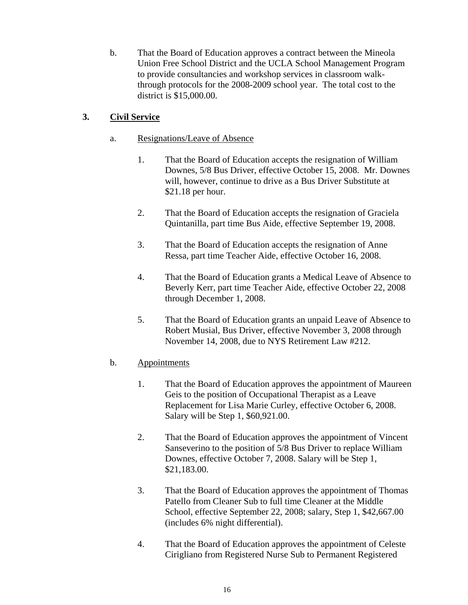b. That the Board of Education approves a contract between the Mineola Union Free School District and the UCLA School Management Program to provide consultancies and workshop services in classroom walkthrough protocols for the 2008-2009 school year. The total cost to the district is \$15,000.00.

# **3. Civil Service**

- a. Resignations/Leave of Absence
	- 1. That the Board of Education accepts the resignation of William Downes, 5/8 Bus Driver, effective October 15, 2008. Mr. Downes will, however, continue to drive as a Bus Driver Substitute at \$21.18 per hour.
	- 2. That the Board of Education accepts the resignation of Graciela Quintanilla, part time Bus Aide, effective September 19, 2008.
	- 3. That the Board of Education accepts the resignation of Anne Ressa, part time Teacher Aide, effective October 16, 2008.
	- 4. That the Board of Education grants a Medical Leave of Absence to Beverly Kerr, part time Teacher Aide, effective October 22, 2008 through December 1, 2008.
	- 5. That the Board of Education grants an unpaid Leave of Absence to Robert Musial, Bus Driver, effective November 3, 2008 through November 14, 2008, due to NYS Retirement Law #212.

# b. Appointments

- 1. That the Board of Education approves the appointment of Maureen Geis to the position of Occupational Therapist as a Leave Replacement for Lisa Marie Curley, effective October 6, 2008. Salary will be Step 1, \$60,921.00.
- 2. That the Board of Education approves the appointment of Vincent Sanseverino to the position of 5/8 Bus Driver to replace William Downes, effective October 7, 2008. Salary will be Step 1, \$21,183.00.
- 3. That the Board of Education approves the appointment of Thomas Patello from Cleaner Sub to full time Cleaner at the Middle School, effective September 22, 2008; salary, Step 1, \$42,667.00 (includes 6% night differential).
- 4. That the Board of Education approves the appointment of Celeste Cirigliano from Registered Nurse Sub to Permanent Registered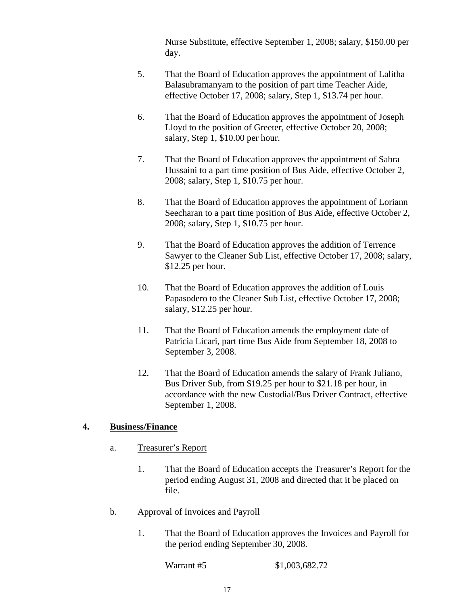Nurse Substitute, effective September 1, 2008; salary, \$150.00 per day.

- 5. That the Board of Education approves the appointment of Lalitha Balasubramanyam to the position of part time Teacher Aide, effective October 17, 2008; salary, Step 1, \$13.74 per hour.
- 6. That the Board of Education approves the appointment of Joseph Lloyd to the position of Greeter, effective October 20, 2008; salary, Step 1, \$10.00 per hour.
- 7. That the Board of Education approves the appointment of Sabra Hussaini to a part time position of Bus Aide, effective October 2, 2008; salary, Step 1, \$10.75 per hour.
- 8. That the Board of Education approves the appointment of Loriann Seecharan to a part time position of Bus Aide, effective October 2, 2008; salary, Step 1, \$10.75 per hour.
- 9. That the Board of Education approves the addition of Terrence Sawyer to the Cleaner Sub List, effective October 17, 2008; salary, \$12.25 per hour.
- 10. That the Board of Education approves the addition of Louis Papasodero to the Cleaner Sub List, effective October 17, 2008; salary, \$12.25 per hour.
- 11. That the Board of Education amends the employment date of Patricia Licari, part time Bus Aide from September 18, 2008 to September 3, 2008.
- 12. That the Board of Education amends the salary of Frank Juliano, Bus Driver Sub, from \$19.25 per hour to \$21.18 per hour, in accordance with the new Custodial/Bus Driver Contract, effective September 1, 2008.

# **4. Business/Finance**

- a. Treasurer's Report
	- 1. That the Board of Education accepts the Treasurer's Report for the period ending August 31, 2008 and directed that it be placed on file.
- b. Approval of Invoices and Payroll
	- 1. That the Board of Education approves the Invoices and Payroll for the period ending September 30, 2008.

Warrant #5 \$1,003,682.72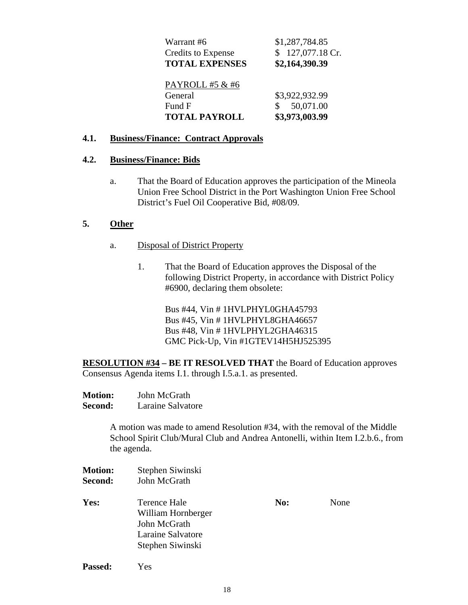| Warrant #6                | \$1,287,784.85   |
|---------------------------|------------------|
| <b>Credits to Expense</b> | 127,077.18 Cr.   |
| <b>TOTAL EXPENSES</b>     | \$2,164,390.39   |
| PAYROLL #5 & #6           |                  |
| General                   | \$3,922,932.99   |
| Fund F                    | 50,071.00<br>\$. |
| <b>TOTAL PAYROLL</b>      | \$3,973,003.99   |

## **4.1. Business/Finance: Contract Approvals**

### **4.2. Business/Finance: Bids**

a. That the Board of Education approves the participation of the Mineola Union Free School District in the Port Washington Union Free School District's Fuel Oil Cooperative Bid, #08/09.

# **5. Other**

- a. Disposal of District Property
	- 1. That the Board of Education approves the Disposal of the following District Property, in accordance with District Policy #6900, declaring them obsolete:

Bus #44, Vin # 1HVLPHYL0GHA45793 Bus #45, Vin # 1HVLPHYL8GHA46657 Bus #48, Vin # 1HVLPHYL2GHA46315 GMC Pick-Up, Vin #1GTEV14H5HJ525395

**RESOLUTION #34 – BE IT RESOLVED THAT** the Board of Education approves Consensus Agenda items I.1. through I.5.a.1. as presented.

| <b>Motion:</b> | John McGrath      |
|----------------|-------------------|
| <b>Second:</b> | Laraine Salvatore |

A motion was made to amend Resolution #34, with the removal of the Middle School Spirit Club/Mural Club and Andrea Antonelli, within Item I.2.b.6., from the agenda.

| <b>Motion:</b><br>Second: | Stephen Siwinski<br>John McGrath                                                            |     |      |
|---------------------------|---------------------------------------------------------------------------------------------|-----|------|
| Yes:                      | Terence Hale<br>William Hornberger<br>John McGrath<br>Laraine Salvatore<br>Stephen Siwinski | No: | None |

**Passed:** Yes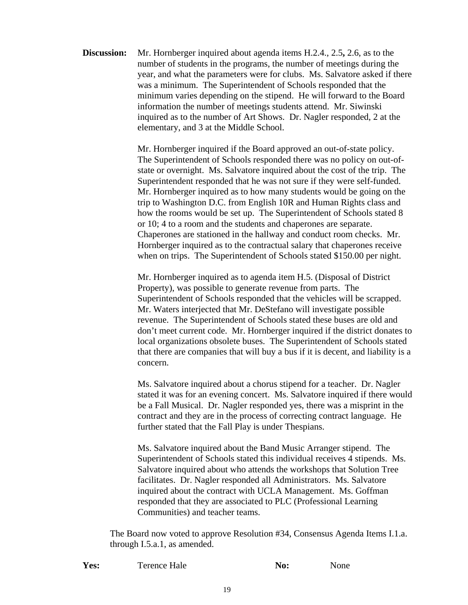**Discussion:** Mr. Hornberger inquired about agenda items H.2.4., 2.5**,** 2.6, as to the number of students in the programs, the number of meetings during the year, and what the parameters were for clubs. Ms. Salvatore asked if there was a minimum. The Superintendent of Schools responded that the minimum varies depending on the stipend. He will forward to the Board information the number of meetings students attend. Mr. Siwinski inquired as to the number of Art Shows. Dr. Nagler responded, 2 at the elementary, and 3 at the Middle School.

> Mr. Hornberger inquired if the Board approved an out-of-state policy. The Superintendent of Schools responded there was no policy on out-ofstate or overnight. Ms. Salvatore inquired about the cost of the trip. The Superintendent responded that he was not sure if they were self-funded. Mr. Hornberger inquired as to how many students would be going on the trip to Washington D.C. from English 10R and Human Rights class and how the rooms would be set up. The Superintendent of Schools stated 8 or 10; 4 to a room and the students and chaperones are separate. Chaperones are stationed in the hallway and conduct room checks. Mr. Hornberger inquired as to the contractual salary that chaperones receive when on trips. The Superintendent of Schools stated \$150.00 per night.

Mr. Hornberger inquired as to agenda item H.5. (Disposal of District Property), was possible to generate revenue from parts. The Superintendent of Schools responded that the vehicles will be scrapped. Mr. Waters interjected that Mr. DeStefano will investigate possible revenue. The Superintendent of Schools stated these buses are old and don't meet current code. Mr. Hornberger inquired if the district donates to local organizations obsolete buses. The Superintendent of Schools stated that there are companies that will buy a bus if it is decent, and liability is a concern.

Ms. Salvatore inquired about a chorus stipend for a teacher. Dr. Nagler stated it was for an evening concert. Ms. Salvatore inquired if there would be a Fall Musical. Dr. Nagler responded yes, there was a misprint in the contract and they are in the process of correcting contract language. He further stated that the Fall Play is under Thespians.

Ms. Salvatore inquired about the Band Music Arranger stipend. The Superintendent of Schools stated this individual receives 4 stipends. Ms. Salvatore inquired about who attends the workshops that Solution Tree facilitates. Dr. Nagler responded all Administrators. Ms. Salvatore inquired about the contract with UCLA Management. Ms. Goffman responded that they are associated to PLC (Professional Learning Communities) and teacher teams.

The Board now voted to approve Resolution #34, Consensus Agenda Items I.1.a. through I.5.a.1, as amended.

| Yes: | Terence Hale | No: | None |
|------|--------------|-----|------|
|      |              |     |      |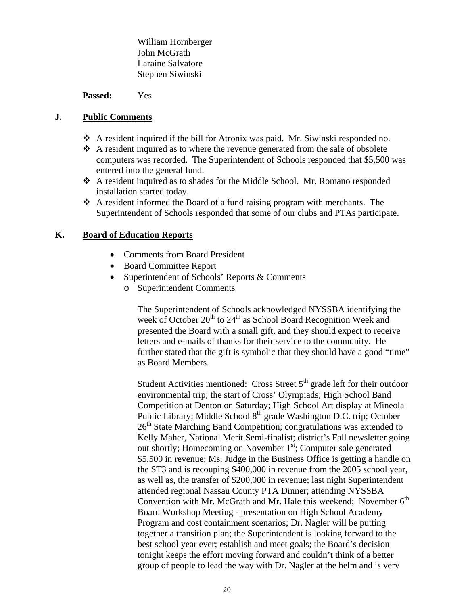William Hornberger John McGrath Laraine Salvatore Stephen Siwinski

**Passed:** Yes

# **J. Public Comments**

- A resident inquired if the bill for Atronix was paid. Mr. Siwinski responded no.
- $\triangle$  A resident inquired as to where the revenue generated from the sale of obsolete computers was recorded. The Superintendent of Schools responded that \$5,500 was entered into the general fund.
- A resident inquired as to shades for the Middle School. Mr. Romano responded installation started today.
- $\triangle$  A resident informed the Board of a fund raising program with merchants. The Superintendent of Schools responded that some of our clubs and PTAs participate.

# **K. Board of Education Reports**

- Comments from Board President
- Board Committee Report
- Superintendent of Schools' Reports & Comments
	- o Superintendent Comments

The Superintendent of Schools acknowledged NYSSBA identifying the week of October  $20^{th}$  to  $24^{th}$  as School Board Recognition Week and presented the Board with a small gift, and they should expect to receive letters and e-mails of thanks for their service to the community. He further stated that the gift is symbolic that they should have a good "time" as Board Members.

Student Activities mentioned: Cross Street  $5<sup>th</sup>$  grade left for their outdoor environmental trip; the start of Cross' Olympiads; High School Band Competition at Denton on Saturday; High School Art display at Mineola Public Library; Middle School 8<sup>th</sup> grade Washington D.C. trip; October  $26<sup>th</sup>$  State Marching Band Competition; congratulations was extended to Kelly Maher, National Merit Semi-finalist; district's Fall newsletter going out shortly; Homecoming on November  $1<sup>st</sup>$ ; Computer sale generated \$5,500 in revenue; Ms. Judge in the Business Office is getting a handle on the ST3 and is recouping \$400,000 in revenue from the 2005 school year, as well as, the transfer of \$200,000 in revenue; last night Superintendent attended regional Nassau County PTA Dinner; attending NYSSBA Convention with Mr. McGrath and Mr. Hale this weekend; November  $6<sup>th</sup>$ Board Workshop Meeting - presentation on High School Academy Program and cost containment scenarios; Dr. Nagler will be putting together a transition plan; the Superintendent is looking forward to the best school year ever; establish and meet goals; the Board's decision tonight keeps the effort moving forward and couldn't think of a better group of people to lead the way with Dr. Nagler at the helm and is very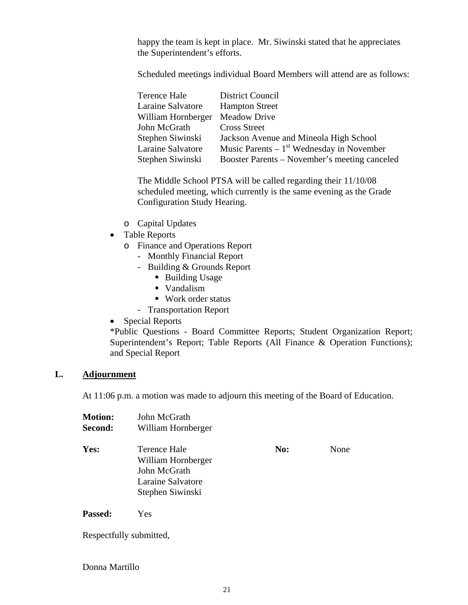happy the team is kept in place. Mr. Siwinski stated that he appreciates the Superintendent's efforts.

Scheduled meetings individual Board Members will attend are as follows:

| Terence Hale       | District Council                              |
|--------------------|-----------------------------------------------|
| Laraine Salvatore  | <b>Hampton Street</b>                         |
| William Hornberger | <b>Meadow Drive</b>                           |
| John McGrath       | <b>Cross Street</b>                           |
| Stephen Siwinski   | Jackson Avenue and Mineola High School        |
| Laraine Salvatore  | Music Parents $-1st$ Wednesday in November    |
| Stephen Siwinski   | Booster Parents – November's meeting canceled |

The Middle School PTSA will be called regarding their 11/10/08 scheduled meeting, which currently is the same evening as the Grade Configuration Study Hearing.

- o Capital Updates
- Table Reports
	- o Finance and Operations Report
		- Monthly Financial Report
		- Building & Grounds Report
			- Building Usage
			- Vandalism
			- Work order status
		- Transportation Report
- Special Reports

\*Public Questions - Board Committee Reports; Student Organization Report; Superintendent's Report; Table Reports (All Finance & Operation Functions); and Special Report

### **L. Adjournment**

At 11:06 p.m. a motion was made to adjourn this meeting of the Board of Education.

| <b>Motion:</b> | John McGrath                                                                                       |     |      |
|----------------|----------------------------------------------------------------------------------------------------|-----|------|
| <b>Second:</b> | William Hornberger                                                                                 |     |      |
| Yes:           | <b>Terence Hale</b><br>William Hornberger<br>John McGrath<br>Laraine Salvatore<br>Stephen Siwinski | No: | None |
|                |                                                                                                    |     |      |

**Passed:** Yes

Respectfully submitted,

Donna Martillo